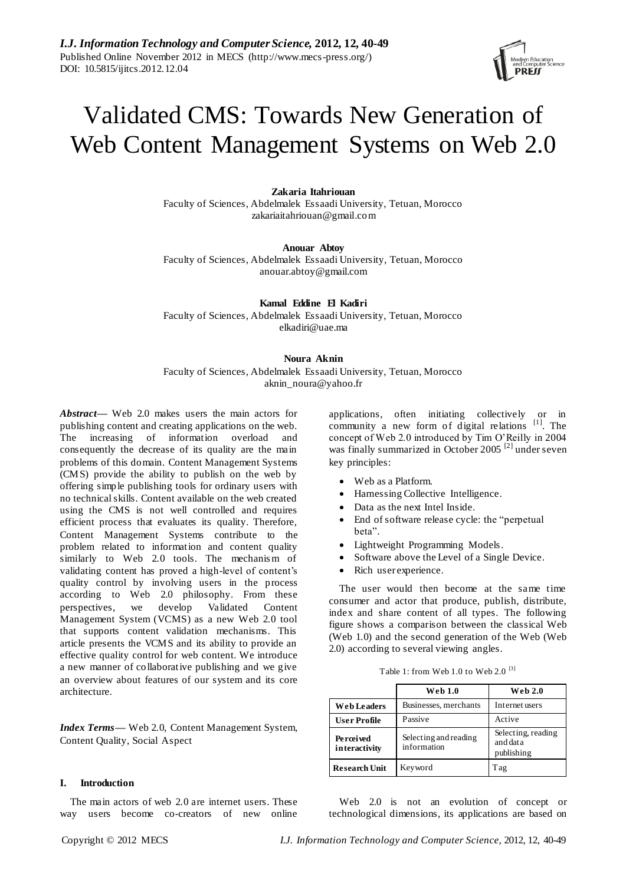# Validated CMS: Towards New Generation of Web Content Management Systems on Web 2.0

## **Zakaria Itahriouan**

Faculty of Sciences, Abdelmalek Essaadi University, Tetuan, Morocco zakariaitahriouan@gmail.com

**Anouar Abtoy** Faculty of Sciences, Abdelmalek Essaadi University, Tetuan, Morocco anouar.abtoy@gmail.com

**Kamal Eddine El Kadiri** Faculty of Sciences, Abdelmalek Essaadi University, Tetuan, Morocco elkadiri@uae.ma

**Noura Aknin** Faculty of Sciences, Abdelmalek Essaadi University, Tetuan, Morocco aknin\_noura@yahoo.fr

*Abstract***—** Web 2.0 makes users the main actors for publishing content and creating applications on the web. The increasing of information overload and consequently the decrease of its quality are the main problems of this domain. Content Management Systems (CMS) provide the ability to publish on the web by offering simple publishing tools for ordinary users with no technical skills. Content available on the web created using the CMS is not well controlled and requires efficient process that evaluates its quality. Therefore, Content Management Systems contribute to the problem related to information and content quality similarly to Web 2.0 tools. The mechanism of validating content has proved a high-level of content's quality control by involving users in the process according to Web 2.0 philosophy. From these perspectives, we develop Validated Content Management System (VCMS) as a new Web 2.0 tool that supports content validation mechanisms. This article presents the VCMS and its ability to provide an effective quality control for web content. We introduce a new manner of collaborative publishing and we give an overview about features of our system and its core architecture.

*Index Terms***—** Web 2.0, Content Management System, Content Quality, Social Aspect

## **I. Introduction**

The main actors of web 2.0 are internet users. These way users become co-creators of new online applications, often initiating collectively or in community a new form of digital relations  $[1]$ . The concept of Web 2.0 introduced by Tim O'Reilly in 2004 was finally summarized in October 2005<sup>[2]</sup> under seven key principles:

- Web as a Platform.
- Harnessing Collective Intelligence.
- Data as the next Intel Inside.
- End of software release cycle: the "perpetual beta".
- Lightweight Programming Models.
- Software above the Level of a Single Device.
- Rich user experience.

The user would then become at the same time consumer and actor that produce, publish, distribute, index and share content of all types. The following figure shows a comparison between the classical Web (Web 1.0) and the second generation of the Web (Web 2.0) according to several viewing angles.

| Table 1: from Web 1.0 to Web 2.0 $^{[3]}$ |  |  |  |  |
|-------------------------------------------|--|--|--|--|
|-------------------------------------------|--|--|--|--|

|                              | <b>Web 1.0</b>                       | <b>Web 2.0</b>                               |
|------------------------------|--------------------------------------|----------------------------------------------|
| <b>Web Leaders</b>           | Businesses, merchants                | Internet users                               |
| <b>User Profile</b>          | Passive                              | Active                                       |
| Pe roei ved<br>interactivity | Selecting and reading<br>information | Selecting, reading<br>and data<br>publishing |
| <b>Research Unit</b>         | Keyword                              | Tag                                          |

Web 2.0 is not an evolution of concept or technological dimensions, its applications are based on

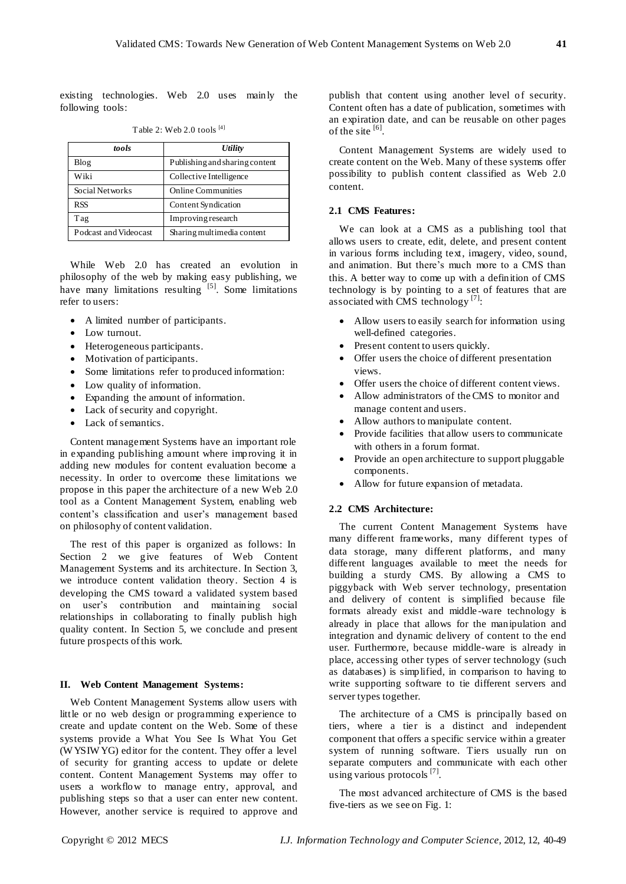existing technologies. Web 2.0 uses mainly the following tools:

| tools                 | <b>Utility</b>                 |  |
|-----------------------|--------------------------------|--|
| Blog                  | Publishing and sharing content |  |
| Wiki                  | Collective Intelligence        |  |
| Social Networks       | <b>Online Communities</b>      |  |
| <b>RSS</b>            | Content Syndication            |  |
| Tag                   | Improving research             |  |
| Podcast and Videocast | Sharing multimedia content     |  |

Table 2: Web 2.0 tools [4]

While Web 2.0 has created an evolution in philosophy of the web by making easy publishing, we have many limitations resulting  $\left[5\right]$ . Some limitations refer to users:

- A limited number of participants.
- Low turnout.
- Heterogeneous participants.
- Motivation of participants.
- Some limitations refer to produced information:
- Low quality of information.
- Expanding the amount of information.
- Lack of security and copyright.
- Lack of semantics.

Content management Systems have an important role in expanding publishing amount where improving it in adding new modules for content evaluation become a necessity. In order to overcome these limitations we propose in this paper the architecture of a new Web 2.0 tool as a Content Management System, enabling web content's classification and user's management based on philosophy of content validation.

The rest of this paper is organized as follows: In Section 2 we give features of Web Content Management Systems and its architecture. In Section 3, we introduce content validation theory. Section 4 is developing the CMS toward a validated system based on user's contribution and maintaining social relationships in collaborating to finally publish high quality content. In Section 5, we conclude and present future prospects of this work.

# **II. Web Content Management Systems:**

Web Content Management Systems allow users with little or no web design or programming experience to create and update content on the Web. Some of these systems provide a What You See Is What You Get (W YSIW YG) editor for the content. They offer a level of security for granting access to update or delete content. Content Management Systems may offer to users a workflow to manage entry, approval, and publishing steps so that a user can enter new content. However, another service is required to approve and publish that content using another level of security. Content often has a date of publication, sometimes with an expiration date, and can be reusable on other pages of the site  $^{[6]}$ .

Content Management Systems are widely used to create content on the Web. Many of these systems offer possibility to publish content classified as Web 2.0 content.

# **2.1 CMS Features:**

We can look at a CMS as a publishing tool that allows users to create, edit, delete, and present content in various forms including text, imagery, video, sound, and animation. But there's much more to a CMS than this. A better way to come up with a definition of CMS technology is by pointing to a set of features that are associated with CMS technology<sup>[7]</sup>:

- Allow users to easily search for information using well-defined categories.
- Present content to users quickly.
- Offer users the choice of different presentation views.
- Offer users the choice of different content views.
- Allow administrators of the CMS to monitor and manage content and users.
- Allow authors to manipulate content.
- Provide facilities that allow users to communicate with others in a forum format.
- Provide an open architecture to support pluggable components.
- Allow for future expansion of metadata.

# **2.2 CMS Architecture:**

The current Content Management Systems have many different frameworks, many different types of data storage, many different platforms, and many different languages available to meet the needs for building a sturdy CMS. By allowing a CMS to piggyback with Web server technology, presentation and delivery of content is simplified because file formats already exist and middle -ware technology is already in place that allows for the manipulation and integration and dynamic delivery of content to the end user. Furthermore, because middle-ware is already in place, accessing other types of server technology (such as databases) is simplified, in comparison to having to write supporting software to tie different servers and server types together.

The architecture of a CMS is principally based on tiers, where a tier is a distinct and independent component that offers a specific service within a greater system of running software. Tiers usually run on separate computers and communicate with each other using various protocols<sup>[7]</sup>.

The most advanced architecture of CMS is the based five-tiers as we see on Fig. 1: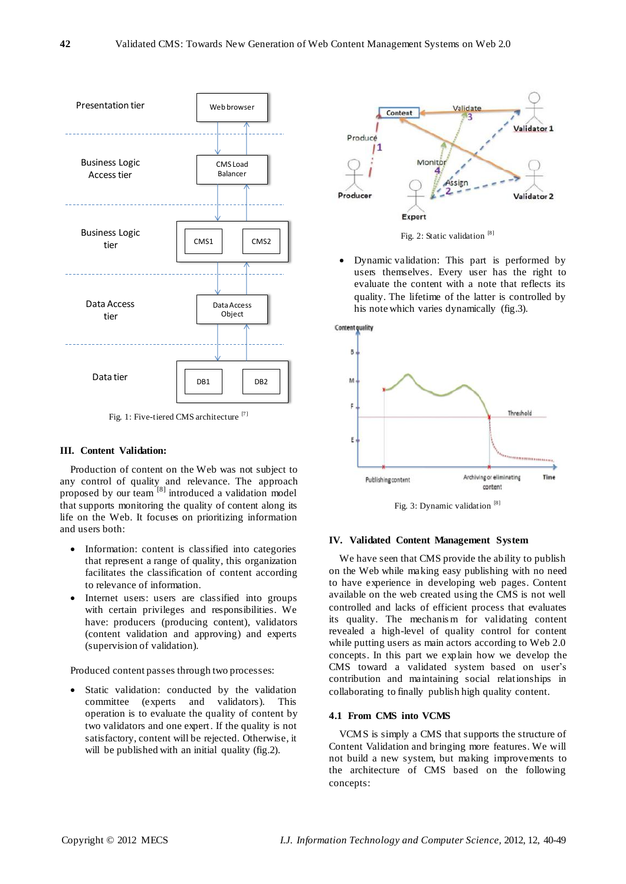

Fig. 1: Five-tiered CMS architecture<sup>[7]</sup>

# **III. Content Validation:**

Production of content on the Web was not subject to any control of quality and relevance. The approach proposed by our team [8] introduced a validation model that supports monitoring the quality of content along its life on the Web. It focuses on prioritizing information and users both:

- Information: content is classified into categories that represent a range of quality, this organization facilitates the classification of content according to relevance of information.
- Internet users: users are classified into groups with certain privileges and responsibilities. We have: producers (producing content), validators (content validation and approving) and experts (supervision of validation).

Produced content passes through two processes:

 Static validation: conducted by the validation committee (experts and validators). This operation is to evaluate the quality of content by two validators and one expert. If the quality is not satisfactory, content will be rejected. Otherwise, it will be published with an initial quality (fig.2).





 Dynamic validation: This part is performed by users themselves. Every user has the right to evaluate the content with a note that reflects its quality. The lifetime of the latter is controlled by his note which varies dynamically (fig.3).



Fig. 3: Dynamic validation [8]

## **IV. Validated Content Management System**

We have seen that CMS provide the ability to publish on the Web while making easy publishing with no need to have experience in developing web pages. Content available on the web created using the CMS is not well controlled and lacks of efficient process that evaluates its quality. The mechanism for validating content revealed a high-level of quality control for content while putting users as main actors according to Web 2.0 concepts. In this part we explain how we develop the CMS toward a validated system based on user's contribution and maintaining social relationships in collaborating to finally publish high quality content.

## **4.1 From CMS into VCMS**

VCMS is simply a CMS that supports the structure of Content Validation and bringing more features. We will not build a new system, but making improvements to the architecture of CMS based on the following concepts: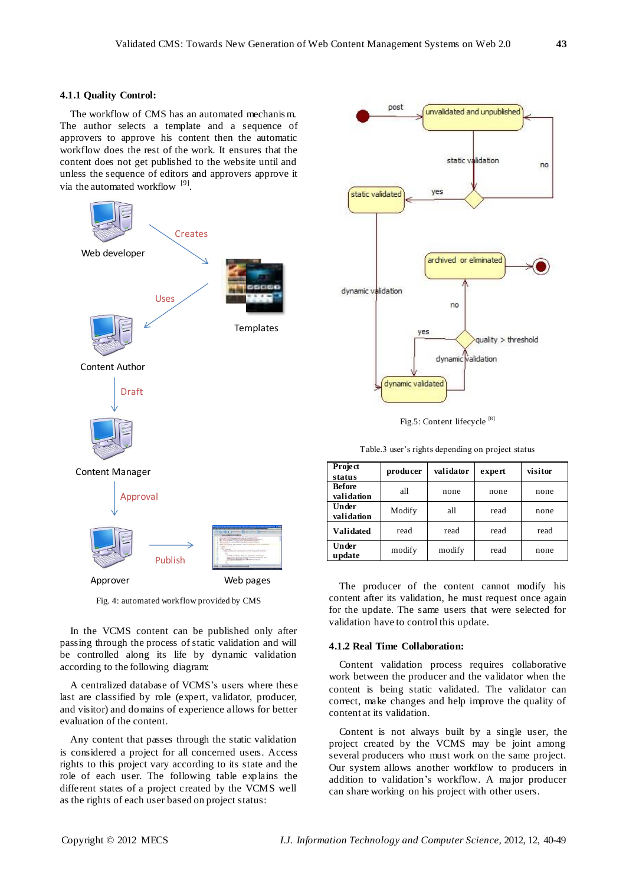## **4.1.1 Quality Control:**

The workflow of CMS has an automated mechanis m. The author selects a template and a sequence of approvers to approve his content then the automatic workflow does the rest of the work. It ensures that the content does not get published to the website until and unless the sequence of editors and approvers approve it via the automated workflow <sup>[9]</sup>.



Fig. 4: automated workflow provided by CMS

In the VCMS content can be published only after passing through the process of static validation and will be controlled along its life by dynamic validation according to the following diagram:

A centralized database of VCMS's users where these last are classified by role (expert, validator, producer, and visitor) and domains of experience allows for better evaluation of the content.

Any content that passes through the static validation is considered a project for all concerned users. Access rights to this project vary according to its state and the role of each user. The following table explains the different states of a project created by the VCMS well as the rights of each user based on project status:



Fig.5: Content lifecycle<sup>[8]</sup>

Table.3 user's rights depending on project status

| <b>Project</b><br>status    | producer | validator | expert | visitor |
|-----------------------------|----------|-----------|--------|---------|
| <b>Before</b><br>validation | all      | none      | none   | none    |
| Under<br>validation         | Modify   | all       | read   | none    |
| <b>Validated</b>            | read     | read      | read   | read    |
| Under<br>update             | modify   | modify    | read   | none    |

The producer of the content cannot modify his content after its validation, he must request once again for the update. The same users that were selected for validation have to control this update.

## **4.1.2 Real Time Collaboration:**

Content validation process requires collaborative work between the producer and the validator when the content is being static validated. The validator can correct, make changes and help improve the quality of content at its validation.

Content is not always built by a single user, the project created by the VCMS may be joint among several producers who must work on the same project. Our system allows another workflow to producers in addition to validation's workflow. A major producer can share working on his project with other users.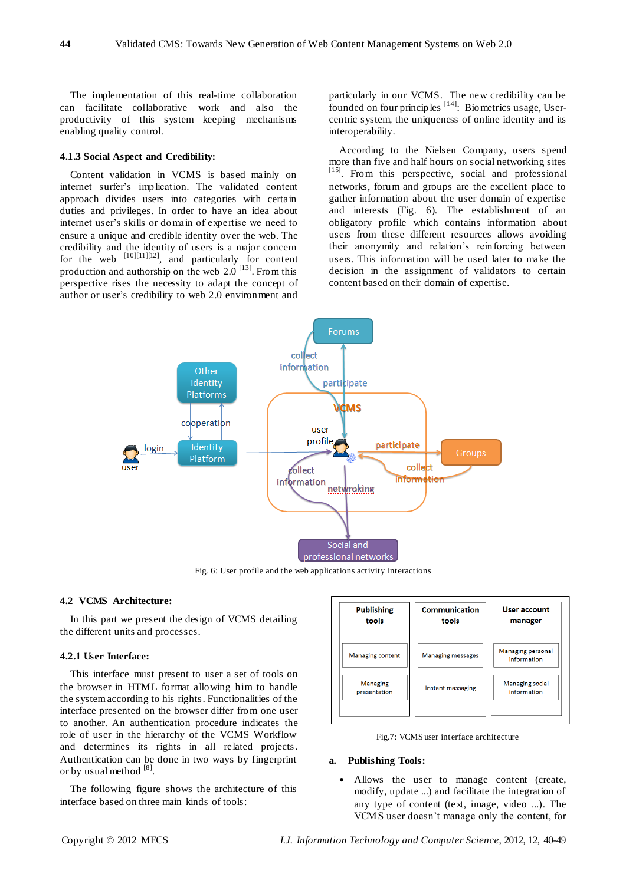The implementation of this real-time collaboration can facilitate collaborative work and also the productivity of this system keeping mechanisms enabling quality control.

# **4.1.3 Social Aspect and Credibility:**

Content validation in VCMS is based mainly on internet surfer's implication. The validated content approach divides users into categories with certain duties and privileges. In order to have an idea about internet user's skills or domain of expertise we need to ensure a unique and credible identity over the web. The credibility and the identity of users is a major concern for the web  $[10][11][12]$ , and particularly for content production and authorship on the web  $2.0$  <sup>[13]</sup>. From this perspective rises the necessity to adapt the concept of author or user's credibility to web 2.0 environment and

particularly in our VCMS. The new credibility can be founded on four principles  $[14]$ : Biometrics usage, Usercentric system, the uniqueness of online identity and its interoperability.

According to the Nielsen Company, users spend more than five and half hours on social networking sites [15]. From this perspective, social and professional networks, forum and groups are the excellent place to gather information about the user domain of expertise and interests (Fig. 6). The establishment of an obligatory profile which contains information about users from these different resources allows avoiding their anonymity and relation's reinforcing between users. This information will be used later to make the decision in the assignment of validators to certain content based on their domain of expertise.



Fig. 6: User profile and the web applications activity interactions

## **4.2 VCMS Architecture:**

In this part we present the design of VCMS detailing the different units and processes.

#### **4.2.1 User Interface:**

This interface must present to user a set of tools on the browser in HTML format allowing him to handle the system according to his rights. Functionalities of the interface presented on the browser differ from one user to another. An authentication procedure indicates the role of user in the hierarchy of the VCMS Workflow and determines its rights in all related projects. Authentication can be done in two ways by fingerprint or by usual method [8].

The following figure shows the architecture of this interface based on three main kinds of tools:



Fig.7: VCMS user interface architecture

# **a. Publishing Tools:**

 Allows the user to manage content (create, modify, update ...) and facilitate the integration of any type of content (text, image, video ...). The VCMS user doesn't manage only the content, for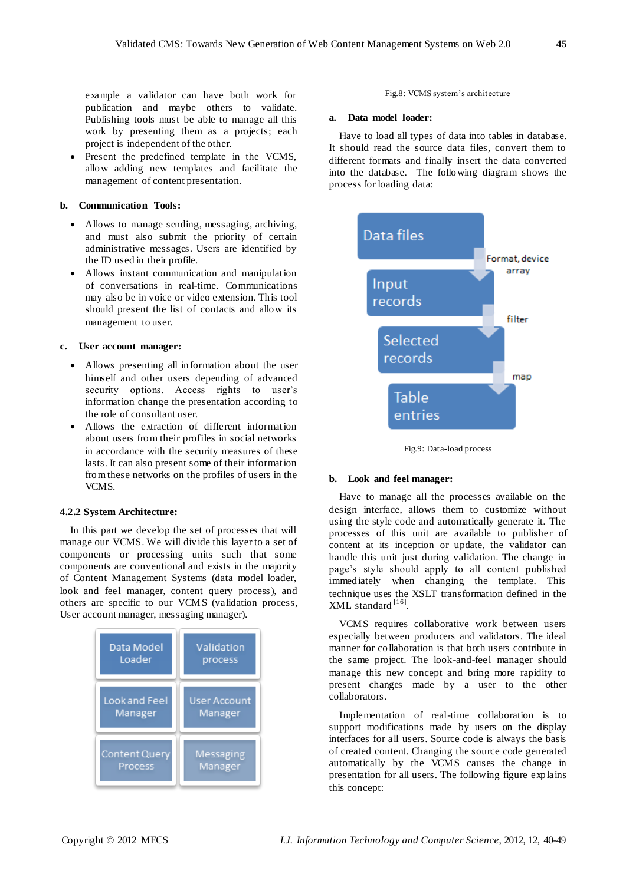example a validator can have both work for publication and maybe others to validate. Publishing tools must be able to manage all this work by presenting them as a projects; each project is independent of the other.

• Present the predefined template in the VCMS, allow adding new templates and facilitate the management of content presentation.

# **b. Communication Tools:**

- Allows to manage sending, messaging, archiving, and must also submit the priority of certain administrative messages. Users are identified by the ID used in their profile.
- Allows instant communication and manipulation of conversations in real-time. Communications may also be in voice or video extension. This tool should present the list of contacts and allow its management to user.

# **c. User account manager:**

- Allows presenting all information about the user himself and other users depending of advanced security options. Access rights to user's information change the presentation according to the role of consultant user.
- Allows the extraction of different information about users from their profiles in social networks in accordance with the security measures of these lasts. It can also present some of their information from these networks on the profiles of users in the VCMS.

# **4.2.2 System Architecture:**

In this part we develop the set of processes that will manage our VCMS. We will divide this layer to a set of components or processing units such that some components are conventional and exists in the majority of Content Management Systems (data model loader, look and feel manager, content query process), and others are specific to our VCMS (validation process, User account manager, messaging manager).



#### Fig.8: VCMS system's architecture

## **a. Data model loader:**

Have to load all types of data into tables in database. It should read the source data files, convert them to different formats and finally insert the data converted into the database. The following diagram shows the process for loading data:



Fig.9: Data-load process

#### **b. Look and feel manager:**

Have to manage all the processes available on the design interface, allows them to customize without using the style code and automatically generate it. The processes of this unit are available to publisher of content at its inception or update, the validator can handle this unit just during validation. The change in page's style should apply to all content published immediately when changing the template. This technique uses the XSLT transformation defined in the XML standard [16] .

VCMS requires collaborative work between users especially between producers and validators. The ideal manner for collaboration is that both users contribute in the same project. The look-and-feel manager should manage this new concept and bring more rapidity to present changes made by a user to the other collaborators.

Implementation of real-time collaboration is to support modifications made by users on the display interfaces for all users. Source code is always the basis of created content. Changing the source code generated automatically by the VCMS causes the change in presentation for all users. The following figure explains this concept: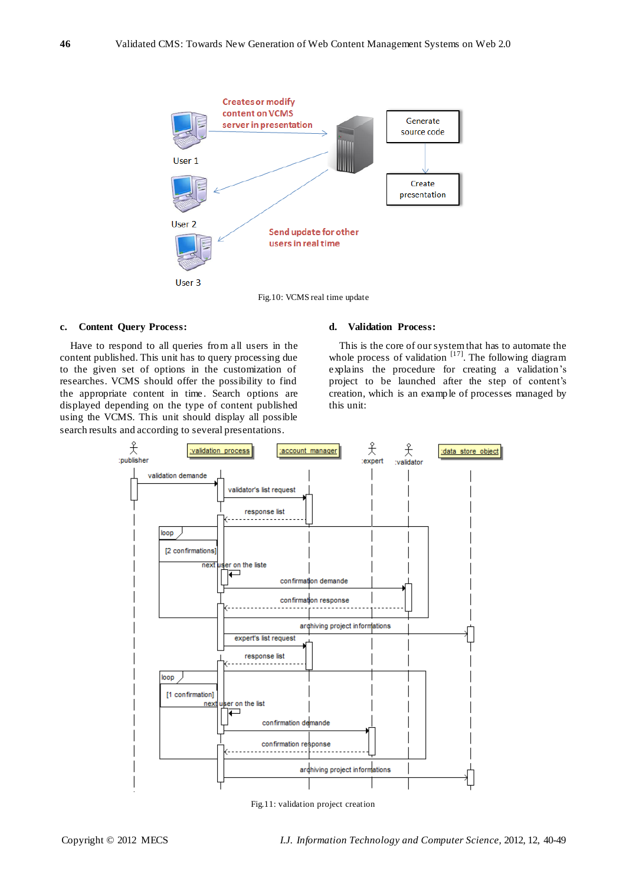

Fig.10: VCMS real time update

# **c. Content Query Process:**

Have to respond to all queries from all users in the content published. This unit has to query processing due to the given set of options in the customization of researches. VCMS should offer the possibility to find the appropriate content in time. Search options are displayed depending on the type of content published using the VCMS. This unit should display all possible search results and according to several presentations.

# **d. Validation Process:**

This is the core of our system that has to automate the whole process of validation  $[17]$ . The following diagram explains the procedure for creating a validation's project to be launched after the step of content's creation, which is an example of processes managed by this unit:



Fig.11: validation project creation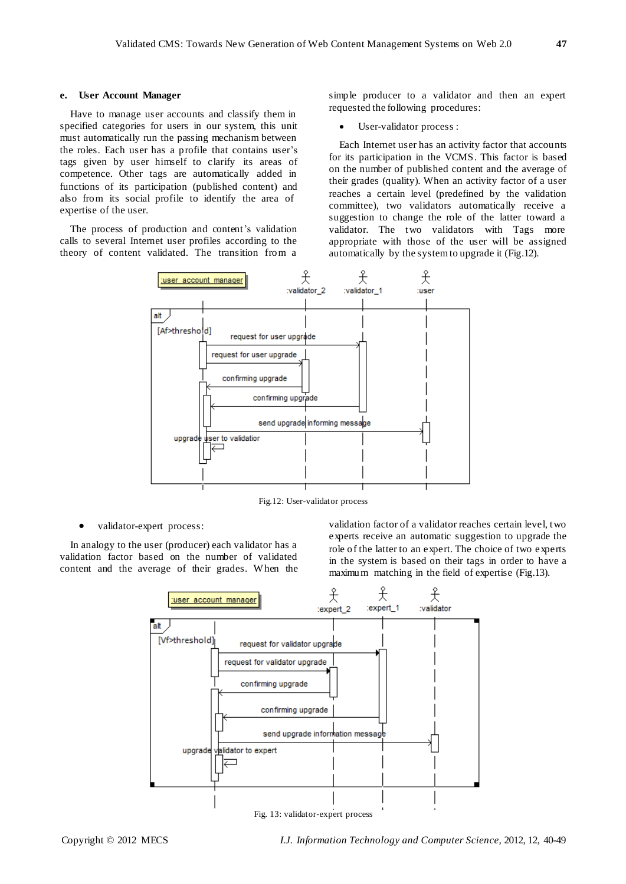# **e. User Account Manager**

Have to manage user accounts and classify them in specified categories for users in our system, this unit must automatically run the passing mechanism between the roles. Each user has a profile that contains user's tags given by user himself to clarify its areas of competence. Other tags are automatically added in functions of its participation (published content) and also from its social profile to identify the area of expertise of the user.

The process of production and content's validation calls to several Internet user profiles according to the theory of content validated. The transition from a simple producer to a validator and then an expert requested the following procedures:

## User-validator process :

Each Internet user has an activity factor that accounts for its participation in the VCMS. This factor is based on the number of published content and the average of their grades (quality). When an activity factor of a user reaches a certain level (predefined by the validation committee), two validators automatically receive a suggestion to change the role of the latter toward a validator. The two validators with Tags more appropriate with those of the user will be assigned automatically by the system to upgrade it (Fig.12).



Fig.12: User-validator process

validator-expert process:

In analogy to the user (producer) each validator has a validation factor based on the number of validated content and the average of their grades. When the validation factor of a validator reaches certain level, two experts receive an automatic suggestion to upgrade the role of the latter to an expert. The choice of two experts in the system is based on their tags in order to have a maximum matching in the field of expertise (Fig.13).



Fig. 13: validator-expert process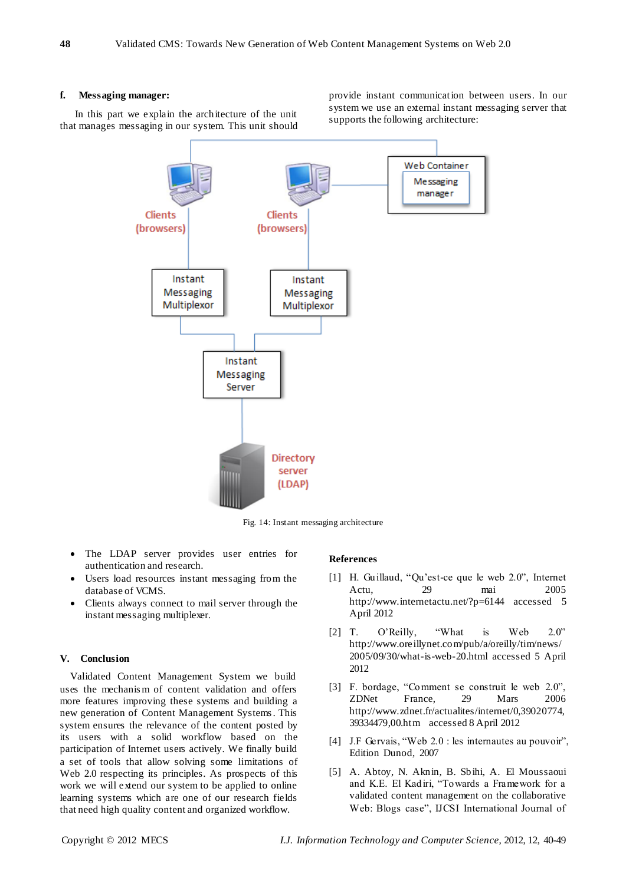#### **f. Messaging manager:**

In this part we explain the architecture of the unit that manages messaging in our system. This unit should provide instant communication between users. In our system we use an external instant messaging server that supports the following architecture:



Fig. 14: Instant messaging architecture

- The LDAP server provides user entries for authentication and research.
- Users load resources instant messaging from the database of VCMS.
- Clients always connect to mail server through the instant messaging multiplexer.

## **V. Conclusion**

Validated Content Management System we build uses the mechanis m of content validation and offers more features improving these systems and building a new generation of Content Management Systems. This system ensures the relevance of the content posted by its users with a solid workflow based on the participation of Internet users actively. We finally build a set of tools that allow solving some limitations of Web 2.0 respecting its principles. As prospects of this work we will extend our system to be applied to online learning systems which are one of our research fields that need high quality content and organized workflow.

## **References**

- [1] H. Guillaud, "Qu'est-ce que le web 2.0", Internet Actu, 29 mai 2005 http://www.internetactu.net/?p=6144 accessed 5 April 2012
- [2] T. O'Reilly, "What is Web 2.0" http://www.oreillynet.com/pub/a/oreilly/tim/news/ 2005/09/30/what-is-web-20.html accessed 5 April 2012
- [3] F. bordage, "Comment se construit le web 2.0", ZDNet France, 29 Mars 2006 http://www.zdnet.fr/actualites/internet/0,39020774, 39334479,00.htm accessed 8 April 2012
- [4] J.F Gervais, "Web 2.0 : les internautes au pouvoir", Edition Dunod, 2007
- [5] A. Abtoy, N. Aknin, B. Sbihi, A. El Moussaoui and K.E. El Kadiri, "Towards a Framework for a validated content management on the collaborative Web: Blogs case", IJCSI International Journal of